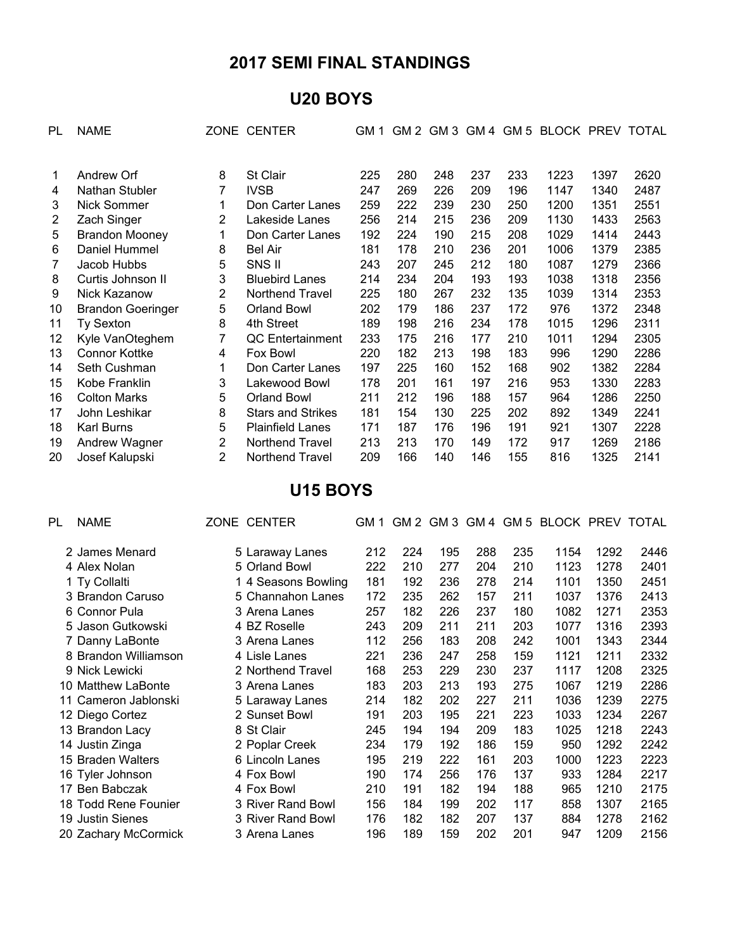# **2017 SEMI FINAL STANDINGS**

## **U20 BOYS**

| PL | <b>NAME</b>              |   | ZONE CENTER              | GM 1 | GM 2 |     |     |     | GM 3 GM 4 GM 5 BLOCK PREV TOTAL |      |      |
|----|--------------------------|---|--------------------------|------|------|-----|-----|-----|---------------------------------|------|------|
|    |                          |   |                          |      |      |     |     |     |                                 |      |      |
| 1  | Andrew Orf               | 8 | St Clair                 | 225  | 280  | 248 | 237 | 233 | 1223                            | 1397 | 2620 |
| 4  | Nathan Stubler           | 7 | <b>IVSB</b>              | 247  | 269  | 226 | 209 | 196 | 1147                            | 1340 | 2487 |
| 3  | Nick Sommer              | 1 | Don Carter Lanes         | 259  | 222  | 239 | 230 | 250 | 1200                            | 1351 | 2551 |
| 2  | Zach Singer              | 2 | Lakeside Lanes           | 256  | 214  | 215 | 236 | 209 | 1130                            | 1433 | 2563 |
| 5  | <b>Brandon Mooney</b>    | 1 | Don Carter Lanes         | 192  | 224  | 190 | 215 | 208 | 1029                            | 1414 | 2443 |
| 6  | Daniel Hummel            | 8 | <b>Bel Air</b>           | 181  | 178  | 210 | 236 | 201 | 1006                            | 1379 | 2385 |
|    | Jacob Hubbs              | 5 | SNS II                   | 243  | 207  | 245 | 212 | 180 | 1087                            | 1279 | 2366 |
| 8  | Curtis Johnson II        | 3 | <b>Bluebird Lanes</b>    | 214  | 234  | 204 | 193 | 193 | 1038                            | 1318 | 2356 |
| 9  | Nick Kazanow             | 2 | Northend Travel          | 225  | 180  | 267 | 232 | 135 | 1039                            | 1314 | 2353 |
| 10 | <b>Brandon Goeringer</b> | 5 | <b>Orland Bowl</b>       | 202  | 179  | 186 | 237 | 172 | 976                             | 1372 | 2348 |
| 11 | Ty Sexton                | 8 | 4th Street               | 189  | 198  | 216 | 234 | 178 | 1015                            | 1296 | 2311 |
| 12 | Kyle VanOteghem          | 7 | QC Entertainment         | 233  | 175  | 216 | 177 | 210 | 1011                            | 1294 | 2305 |
| 13 | <b>Connor Kottke</b>     | 4 | Fox Bowl                 | 220  | 182  | 213 | 198 | 183 | 996                             | 1290 | 2286 |
| 14 | Seth Cushman             | 1 | Don Carter Lanes         | 197  | 225  | 160 | 152 | 168 | 902                             | 1382 | 2284 |
| 15 | Kobe Franklin            | 3 | Lakewood Bowl            | 178  | 201  | 161 | 197 | 216 | 953                             | 1330 | 2283 |
| 16 | <b>Colton Marks</b>      | 5 | <b>Orland Bowl</b>       | 211  | 212  | 196 | 188 | 157 | 964                             | 1286 | 2250 |
| 17 | John Leshikar            | 8 | <b>Stars and Strikes</b> | 181  | 154  | 130 | 225 | 202 | 892                             | 1349 | 2241 |
| 18 | <b>Karl Burns</b>        | 5 | <b>Plainfield Lanes</b>  | 171  | 187  | 176 | 196 | 191 | 921                             | 1307 | 2228 |
| 19 | Andrew Wagner            | 2 | Northend Travel          | 213  | 213  | 170 | 149 | 172 | 917                             | 1269 | 2186 |
| 20 | Josef Kalupski           | 2 | <b>Northend Travel</b>   | 209  | 166  | 140 | 146 | 155 | 816                             | 1325 | 2141 |

### **U15 BOYS**

| PL | <b>NAME</b>          | ZONE CENTER         | GM 1 |     | GM 2 GM 3 |     |     | GM 4 GM 5 BLOCK PREV TOTAL |      |      |
|----|----------------------|---------------------|------|-----|-----------|-----|-----|----------------------------|------|------|
|    | 2 James Menard       | 5 Laraway Lanes     | 212  | 224 | 195       | 288 | 235 | 1154                       | 1292 | 2446 |
|    | 4 Alex Nolan         | 5 Orland Bowl       | 222  | 210 | 277       | 204 | 210 | 1123                       | 1278 | 2401 |
|    | 1 Ty Collalti        | 1 4 Seasons Bowling | 181  | 192 | 236       | 278 | 214 | 1101                       | 1350 | 2451 |
|    | 3 Brandon Caruso     | 5 Channahon Lanes   | 172  | 235 | 262       | 157 | 211 | 1037                       | 1376 | 2413 |
|    | 6 Connor Pula        | 3 Arena Lanes       | 257  | 182 | 226       | 237 | 180 | 1082                       | 1271 | 2353 |
|    | 5 Jason Gutkowski    | 4 BZ Roselle        | 243  | 209 | 211       | 211 | 203 | 1077                       | 1316 | 2393 |
|    | 7 Danny LaBonte      | 3 Arena Lanes       | 112  | 256 | 183       | 208 | 242 | 1001                       | 1343 | 2344 |
|    | 8 Brandon Williamson | 4 Lisle Lanes       | 221  | 236 | 247       | 258 | 159 | 1121                       | 1211 | 2332 |
|    | 9 Nick Lewicki       | 2 Northend Travel   | 168  | 253 | 229       | 230 | 237 | 1117                       | 1208 | 2325 |
|    | 10 Matthew LaBonte   | 3 Arena Lanes       | 183  | 203 | 213       | 193 | 275 | 1067                       | 1219 | 2286 |
|    | 11 Cameron Jablonski | 5 Laraway Lanes     | 214  | 182 | 202       | 227 | 211 | 1036                       | 1239 | 2275 |
|    | 12 Diego Cortez      | 2 Sunset Bowl       | 191  | 203 | 195       | 221 | 223 | 1033                       | 1234 | 2267 |
|    | 13 Brandon Lacy      | 8 St Clair          | 245  | 194 | 194       | 209 | 183 | 1025                       | 1218 | 2243 |
|    | 14 Justin Zinga      | 2 Poplar Creek      | 234  | 179 | 192       | 186 | 159 | 950                        | 1292 | 2242 |
|    | 15 Braden Walters    | 6 Lincoln Lanes     | 195  | 219 | 222       | 161 | 203 | 1000                       | 1223 | 2223 |
|    | 16 Tyler Johnson     | 4 Fox Bowl          | 190  | 174 | 256       | 176 | 137 | 933                        | 1284 | 2217 |
|    | 17 Ben Babczak       | 4 Fox Bowl          | 210  | 191 | 182       | 194 | 188 | 965                        | 1210 | 2175 |
|    | 18 Todd Rene Founier | 3 River Rand Bowl   | 156  | 184 | 199       | 202 | 117 | 858                        | 1307 | 2165 |
|    | 19 Justin Sienes     | 3 River Rand Bowl   | 176  | 182 | 182       | 207 | 137 | 884                        | 1278 | 2162 |
|    | 20 Zachary McCormick | 3 Arena Lanes       | 196  | 189 | 159       | 202 | 201 | 947                        | 1209 | 2156 |